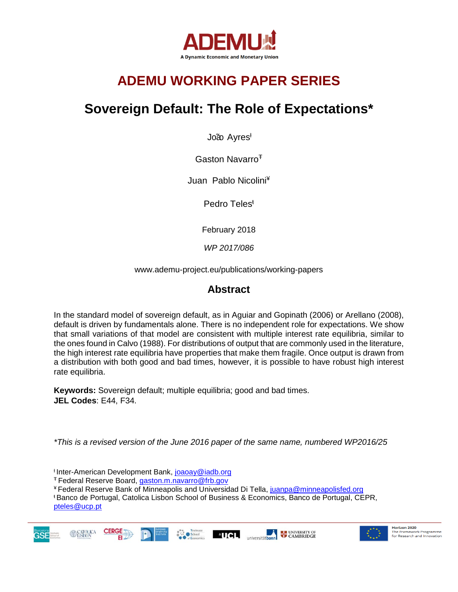

## **ADEMU WORKING PAPER SERIES**

## **Sovereign Default: The Role of Expectations\***

João Ayres<sup>t</sup>

Gaston Navarro<sup>+</sup>

Juan Pablo Nicolini¥

Pedro Teles<sup>ŧ</sup>

February 2018

*WP 2017/086*

www.ademu-project.eu/publications/working-papers

## **Abstract**

In the standard model of sovereign default, as in Aguiar and Gopinath (2006) or Arellano (2008), default is driven by fundamentals alone. There is no independent role for expectations. We show that small variations of that model are consistent with multiple interest rate equilibria, similar to the ones found in Calvo (1988). For distributions of output that are commonly used in the literature, the high interest rate equilibria have properties that make them fragile. Once output is drawn from a distribution with both good and bad times, however, it is possible to have robust high interest rate equilibria.

**Keywords:** Sovereign default; multiple equilibria; good and bad times. **JEL Codes**: E44, F34.

*\*This is a revised version of the June 2016 paper of the same name, numbered WP2016/25*

<sup>ƚ</sup> Inter-American Development Bank, [joaoay@iadb.org](mailto:joaoay@iadb.org)

<sup>Ŧ</sup>Federal Reserve Board, [gaston.m.navarro@frb.gov](mailto:gaston.m.navarro@frb.gov)

**CERGE** 

¥ Federal Reserve Bank of Minneapolis and Universidad Di Tella, [juanpa@minneapolisfed.org](mailto:juanpa@minneapolisfed.org)

<sup>ŧ</sup>Banco de Portugal, Catolica Lisbon School of Business & Economics, Banco de Portugal, CEPR, [pteles@ucp.pt](mailto:pteles@ucp.pt)







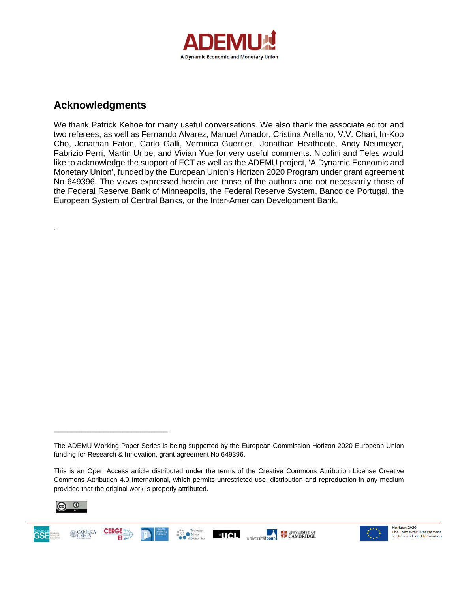

### **Acknowledgments**

,.

We thank Patrick Kehoe for many useful conversations. We also thank the associate editor and two referees, as well as Fernando Alvarez, Manuel Amador, Cristina Arellano, V.V. Chari, In-Koo Cho, Jonathan Eaton, Carlo Galli, Veronica Guerrieri, Jonathan Heathcote, Andy Neumeyer, Fabrizio Perri, Martin Uribe, and Vivian Yue for very useful comments. Nicolini and Teles would like to acknowledge the support of FCT as well as the ADEMU project, 'A Dynamic Economic and Monetary Union', funded by the European Union's Horizon 2020 Program under grant agreement No 649396. The views expressed herein are those of the authors and not necessarily those of the Federal Reserve Bank of Minneapolis, the Federal Reserve System, Banco de Portugal, the European System of Central Banks, or the Inter-American Development Bank.

This is an Open Access article distributed under the terms of the Creative Commons Attribution License Creative Commons Attribution 4.0 International, which permits unrestricted use, distribution and reproduction in any medium provided that the original work is properly attributed.



\_\_\_\_\_\_\_\_\_\_\_\_\_\_\_\_\_\_\_\_\_\_\_\_\_



The ADEMU Working Paper Series is being supported by the European Commission Horizon 2020 European Union funding for Research & Innovation, grant agreement No 649396.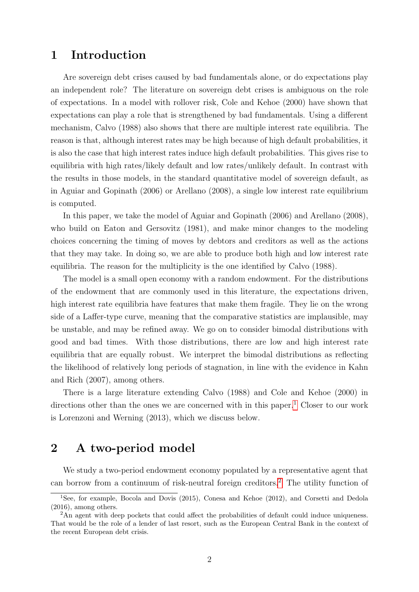## 1 Introduction

Are sovereign debt crises caused by bad fundamentals alone, or do expectations play an independent role? The literature on sovereign debt crises is ambiguous on the role of expectations. In a model with rollover risk, Cole and Kehoe (2000) have shown that expectations can play a role that is strengthened by bad fundamentals. Using a different mechanism, Calvo (1988) also shows that there are multiple interest rate equilibria. The reason is that, although interest rates may be high because of high default probabilities, it is also the case that high interest rates induce high default probabilities. This gives rise to equilibria with high rates/likely default and low rates/unlikely default. In contrast with the results in those models, in the standard quantitative model of sovereign default, as in Aguiar and Gopinath (2006) or Arellano (2008), a single low interest rate equilibrium is computed.

In this paper, we take the model of Aguiar and Gopinath (2006) and Arellano (2008), who build on Eaton and Gersovitz (1981), and make minor changes to the modeling choices concerning the timing of moves by debtors and creditors as well as the actions that they may take. In doing so, we are able to produce both high and low interest rate equilibria. The reason for the multiplicity is the one identified by Calvo (1988).

The model is a small open economy with a random endowment. For the distributions of the endowment that are commonly used in this literature, the expectations driven, high interest rate equilibria have features that make them fragile. They lie on the wrong side of a Laffer-type curve, meaning that the comparative statistics are implausible, may be unstable, and may be refined away. We go on to consider bimodal distributions with good and bad times. With those distributions, there are low and high interest rate equilibria that are equally robust. We interpret the bimodal distributions as reflecting the likelihood of relatively long periods of stagnation, in line with the evidence in Kahn and Rich (2007), among others.

There is a large literature extending Calvo (1988) and Cole and Kehoe (2000) in directions other than the ones we are concerned with in this paper.<sup>[1](#page-2-0)</sup> Closer to our work is Lorenzoni and Werning (2013), which we discuss below.

## 2 A two-period model

We study a two-period endowment economy populated by a representative agent that can borrow from a continuum of risk-neutral foreign creditors.[2](#page-2-1) The utility function of

<span id="page-2-0"></span><sup>&</sup>lt;sup>1</sup>See, for example, Bocola and Dovis (2015), Conesa and Kehoe (2012), and Corsetti and Dedola (2016), among others.

<span id="page-2-1"></span><sup>&</sup>lt;sup>2</sup>An agent with deep pockets that could affect the probabilities of default could induce uniqueness. That would be the role of a lender of last resort, such as the European Central Bank in the context of the recent European debt crisis.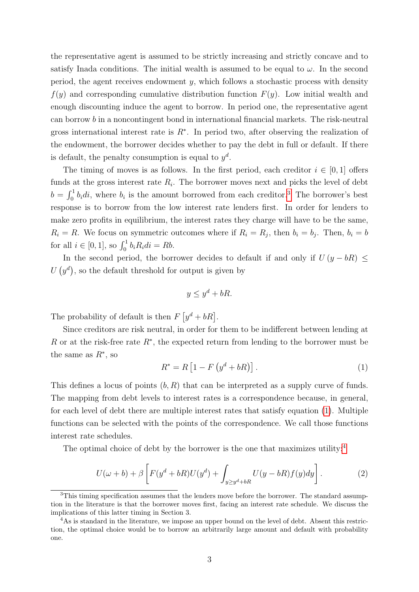the representative agent is assumed to be strictly increasing and strictly concave and to satisfy Inada conditions. The initial wealth is assumed to be equal to  $\omega$ . In the second period, the agent receives endowment  $y$ , which follows a stochastic process with density  $f(y)$  and corresponding cumulative distribution function  $F(y)$ . Low initial wealth and enough discounting induce the agent to borrow. In period one, the representative agent can borrow b in a noncontingent bond in international financial markets. The risk-neutral gross international interest rate is  $R^*$ . In period two, after observing the realization of the endowment, the borrower decides whether to pay the debt in full or default. If there is default, the penalty consumption is equal to  $y^d$ .

The timing of moves is as follows. In the first period, each creditor  $i \in [0,1]$  offers funds at the gross interest rate  $R_i$ . The borrower moves next and picks the level of debt  $b = \int_0^1 b_i \, di$ , where  $b_i$  is the amount borrowed from each creditor.<sup>[3](#page-3-0)</sup> The borrower's best response is to borrow from the low interest rate lenders first. In order for lenders to make zero profits in equilibrium, the interest rates they charge will have to be the same,  $R_i = R$ . We focus on symmetric outcomes where if  $R_i = R_j$ , then  $b_i = b_j$ . Then,  $b_i = b$ for all  $i \in [0, 1]$ , so  $\int_0^1 b_i R_i di = Rb$ .

In the second period, the borrower decides to default if and only if  $U(y - bR) \leq$  $U(q^d)$ , so the default threshold for output is given by

$$
y \le y^d + bR.
$$

The probability of default is then  $F[y^d + bR]$ .

Since creditors are risk neutral, in order for them to be indifferent between lending at R or at the risk-free rate  $R^*$ , the expected return from lending to the borrower must be the same as  $R^*$ , so

<span id="page-3-1"></span>
$$
R^* = R \left[ 1 - F \left( y^d + bR \right) \right]. \tag{1}
$$

This defines a locus of points  $(b, R)$  that can be interpreted as a supply curve of funds. The mapping from debt levels to interest rates is a correspondence because, in general, for each level of debt there are multiple interest rates that satisfy equation [\(1\)](#page-3-1). Multiple functions can be selected with the points of the correspondence. We call those functions interest rate schedules.

The optimal choice of debt by the borrower is the one that maximizes utility:<sup>[4](#page-3-2)</sup>

<span id="page-3-3"></span>
$$
U(\omega + b) + \beta \left[ F(y^d + bR)U(y^d) + \int_{y \ge y^d + bR} U(y - bR)f(y)dy \right].
$$
 (2)

<span id="page-3-0"></span><sup>&</sup>lt;sup>3</sup>This timing specification assumes that the lenders move before the borrower. The standard assumption in the literature is that the borrower moves first, facing an interest rate schedule. We discuss the implications of this latter timing in Section 3.

<span id="page-3-2"></span><sup>&</sup>lt;sup>4</sup>As is standard in the literature, we impose an upper bound on the level of debt. Absent this restriction, the optimal choice would be to borrow an arbitrarily large amount and default with probability one.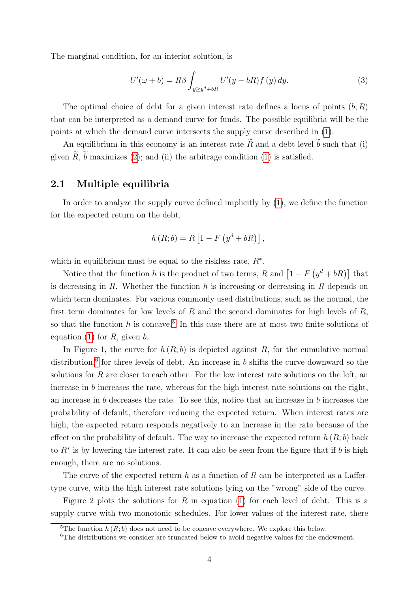The marginal condition, for an interior solution, is

<span id="page-4-2"></span>
$$
U'(\omega + b) = R\beta \int_{y \ge y^d + bR} U'(y - bR) f(y) dy.
$$
 (3)

The optimal choice of debt for a given interest rate defines a locus of points  $(b, R)$ that can be interpreted as a demand curve for funds. The possible equilibria will be the points at which the demand curve intersects the supply curve described in [\(1\)](#page-3-1).

An equilibrium in this economy is an interest rate  $\widetilde{R}$  and a debt level  $\widetilde{b}$  such that (i) given  $\widetilde{R}$ ,  $\widetilde{b}$  maximizes [\(2\)](#page-3-3); and (ii) the arbitrage condition [\(1\)](#page-3-1) is satisfied.

### 2.1 Multiple equilibria

In order to analyze the supply curve defined implicitly by [\(1\)](#page-3-1), we define the function for the expected return on the debt,

$$
h(R;b) = R \left[1 - F\left(y^{d} + bR\right)\right],
$$

which in equilibrium must be equal to the riskless rate,  $R^*$ .

Notice that the function h is the product of two terms, R and  $\left[1 - F\left(y^d + bR\right)\right]$  that is decreasing in  $R$ . Whether the function  $h$  is increasing or decreasing in  $R$  depends on which term dominates. For various commonly used distributions, such as the normal, the first term dominates for low levels of  $R$  and the second dominates for high levels of  $R$ , so that the function h is concave.<sup>[5](#page-4-0)</sup> In this case there are at most two finite solutions of equation [\(1\)](#page-3-1) for  $R$ , given  $b$ .

In Figure 1, the curve for  $h(R; b)$  is depicted against R, for the cumulative normal distribution,<sup>[6](#page-4-1)</sup> for three levels of debt. An increase in b shifts the curve downward so the solutions for  $R$  are closer to each other. For the low interest rate solutions on the left, an increase in b increases the rate, whereas for the high interest rate solutions on the right, an increase in b decreases the rate. To see this, notice that an increase in b increases the probability of default, therefore reducing the expected return. When interest rates are high, the expected return responds negatively to an increase in the rate because of the effect on the probability of default. The way to increase the expected return  $h(R; b)$  back to  $R^*$  is by lowering the interest rate. It can also be seen from the figure that if b is high enough, there are no solutions.

The curve of the expected return h as a function of R can be interpreted as a Laffertype curve, with the high interest rate solutions lying on the "wrong" side of the curve.

Figure 2 plots the solutions for R in equation [\(1\)](#page-3-1) for each level of debt. This is a supply curve with two monotonic schedules. For lower values of the interest rate, there

<span id="page-4-0"></span><sup>&</sup>lt;sup>5</sup>The function  $h(R; b)$  does not need to be concave everywhere. We explore this below.

<span id="page-4-1"></span><sup>&</sup>lt;sup>6</sup>The distributions we consider are truncated below to avoid negative values for the endowment.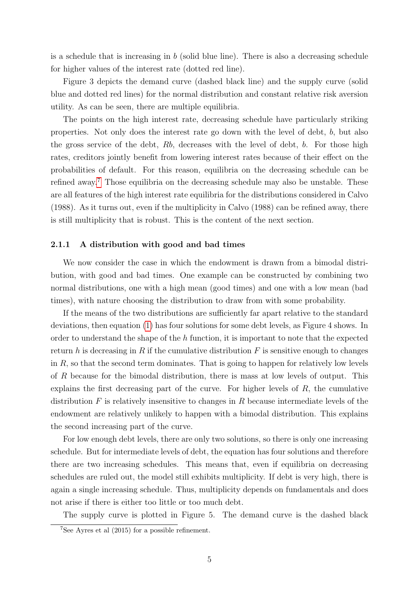is a schedule that is increasing in  $b$  (solid blue line). There is also a decreasing schedule for higher values of the interest rate (dotted red line).

Figure 3 depicts the demand curve (dashed black line) and the supply curve (solid blue and dotted red lines) for the normal distribution and constant relative risk aversion utility. As can be seen, there are multiple equilibria.

The points on the high interest rate, decreasing schedule have particularly striking properties. Not only does the interest rate go down with the level of debt, b, but also the gross service of the debt, Rb, decreases with the level of debt, b. For those high rates, creditors jointly benefit from lowering interest rates because of their effect on the probabilities of default. For this reason, equilibria on the decreasing schedule can be refined away.[7](#page-5-0) Those equilibria on the decreasing schedule may also be unstable. These are all features of the high interest rate equilibria for the distributions considered in Calvo (1988). As it turns out, even if the multiplicity in Calvo (1988) can be refined away, there is still multiplicity that is robust. This is the content of the next section.

#### 2.1.1 A distribution with good and bad times

We now consider the case in which the endowment is drawn from a bimodal distribution, with good and bad times. One example can be constructed by combining two normal distributions, one with a high mean (good times) and one with a low mean (bad times), with nature choosing the distribution to draw from with some probability.

If the means of the two distributions are sufficiently far apart relative to the standard deviations, then equation [\(1\)](#page-3-1) has four solutions for some debt levels, as Figure 4 shows. In order to understand the shape of the h function, it is important to note that the expected return h is decreasing in R if the cumulative distribution  $F$  is sensitive enough to changes in  $R$ , so that the second term dominates. That is going to happen for relatively low levels of R because for the bimodal distribution, there is mass at low levels of output. This explains the first decreasing part of the curve. For higher levels of  $R$ , the cumulative distribution  $F$  is relatively insensitive to changes in  $R$  because intermediate levels of the endowment are relatively unlikely to happen with a bimodal distribution. This explains the second increasing part of the curve.

For low enough debt levels, there are only two solutions, so there is only one increasing schedule. But for intermediate levels of debt, the equation has four solutions and therefore there are two increasing schedules. This means that, even if equilibria on decreasing schedules are ruled out, the model still exhibits multiplicity. If debt is very high, there is again a single increasing schedule. Thus, multiplicity depends on fundamentals and does not arise if there is either too little or too much debt.

The supply curve is plotted in Figure 5. The demand curve is the dashed black

<span id="page-5-0"></span><sup>7</sup>See Ayres et al (2015) for a possible refinement.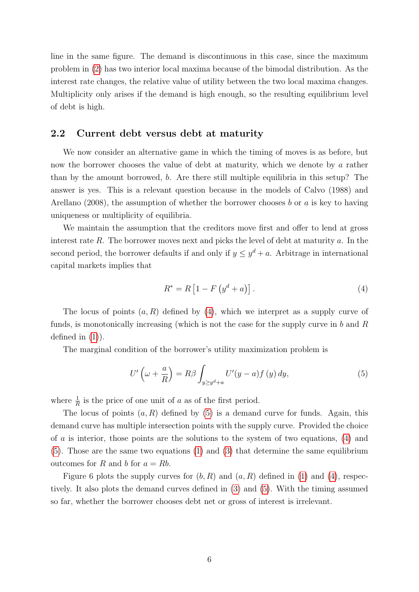line in the same figure. The demand is discontinuous in this case, since the maximum problem in [\(2\)](#page-3-3) has two interior local maxima because of the bimodal distribution. As the interest rate changes, the relative value of utility between the two local maxima changes. Multiplicity only arises if the demand is high enough, so the resulting equilibrium level of debt is high.

### 2.2 Current debt versus debt at maturity

We now consider an alternative game in which the timing of moves is as before, but now the borrower chooses the value of debt at maturity, which we denote by a rather than by the amount borrowed, b. Are there still multiple equilibria in this setup? The answer is yes. This is a relevant question because in the models of Calvo (1988) and Arellano (2008), the assumption of whether the borrower chooses b or a is key to having uniqueness or multiplicity of equilibria.

We maintain the assumption that the creditors move first and offer to lend at gross interest rate  $R$ . The borrower moves next and picks the level of debt at maturity  $a$ . In the second period, the borrower defaults if and only if  $y \leq y^d + a$ . Arbitrage in international capital markets implies that

<span id="page-6-0"></span>
$$
R^* = R [1 - F (y^d + a)].
$$
\n(4)

The locus of points  $(a, R)$  defined by  $(4)$ , which we interpret as a supply curve of funds, is monotonically increasing (which is not the case for the supply curve in  $b$  and  $R$ defined in  $(1)$ ).

The marginal condition of the borrower's utility maximization problem is

<span id="page-6-1"></span>
$$
U'\left(\omega + \frac{a}{R}\right) = R\beta \int_{y \ge y^d + a} U'(y - a) f\left(y\right) dy,\tag{5}
$$

where  $\frac{1}{R}$  is the price of one unit of a as of the first period.

The locus of points  $(a, R)$  defined by  $(5)$  is a demand curve for funds. Again, this demand curve has multiple intersection points with the supply curve. Provided the choice of a is interior, those points are the solutions to the system of two equations, [\(4\)](#page-6-0) and [\(5\)](#page-6-1). Those are the same two equations [\(1\)](#page-3-1) and [\(3\)](#page-4-2) that determine the same equilibrium outcomes for R and b for  $a = Rb$ .

Figure 6 plots the supply curves for  $(b, R)$  and  $(a, R)$  defined in [\(1\)](#page-3-1) and [\(4\)](#page-6-0), respectively. It also plots the demand curves defined in [\(3\)](#page-4-2) and [\(5\)](#page-6-1). With the timing assumed so far, whether the borrower chooses debt net or gross of interest is irrelevant.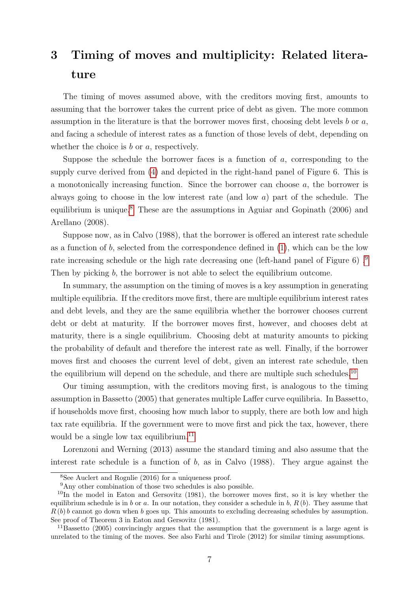# 3 Timing of moves and multiplicity: Related literature

The timing of moves assumed above, with the creditors moving first, amounts to assuming that the borrower takes the current price of debt as given. The more common assumption in the literature is that the borrower moves first, choosing debt levels  $b$  or  $a$ , and facing a schedule of interest rates as a function of those levels of debt, depending on whether the choice is  $b$  or  $a$ , respectively.

Suppose the schedule the borrower faces is a function of a, corresponding to the supply curve derived from [\(4\)](#page-6-0) and depicted in the right-hand panel of Figure 6. This is a monotonically increasing function. Since the borrower can choose a, the borrower is always going to choose in the low interest rate (and low a) part of the schedule. The equilibrium is unique.<sup>[8](#page-7-0)</sup> These are the assumptions in Aguiar and Gopinath  $(2006)$  and Arellano (2008).

Suppose now, as in Calvo (1988), that the borrower is offered an interest rate schedule as a function of b, selected from the correspondence defined in  $(1)$ , which can be the low rate increasing schedule or the high rate decreasing one (left-hand panel of Figure 6) .[9](#page-7-1) Then by picking b, the borrower is not able to select the equilibrium outcome.

In summary, the assumption on the timing of moves is a key assumption in generating multiple equilibria. If the creditors move first, there are multiple equilibrium interest rates and debt levels, and they are the same equilibria whether the borrower chooses current debt or debt at maturity. If the borrower moves first, however, and chooses debt at maturity, there is a single equilibrium. Choosing debt at maturity amounts to picking the probability of default and therefore the interest rate as well. Finally, if the borrower moves first and chooses the current level of debt, given an interest rate schedule, then the equilibrium will depend on the schedule, and there are multiple such schedules.<sup>[10](#page-7-2)</sup>

Our timing assumption, with the creditors moving first, is analogous to the timing assumption in Bassetto (2005) that generates multiple Laffer curve equilibria. In Bassetto, if households move first, choosing how much labor to supply, there are both low and high tax rate equilibria. If the government were to move first and pick the tax, however, there would be a single low tax equilibrium.<sup>[11](#page-7-3)</sup>

Lorenzoni and Werning (2013) assume the standard timing and also assume that the interest rate schedule is a function of  $b$ , as in Calvo (1988). They argue against the

<span id="page-7-0"></span><sup>8</sup>See Auclert and Rognlie (2016) for a uniqueness proof.

<span id="page-7-2"></span><span id="page-7-1"></span> $^{9}\mathrm{Any}$  other combination of those two schedules is also possible.

 $10$ In the model in Eaton and Gersovitz (1981), the borrower moves first, so it is key whether the equilibrium schedule is in b or a. In our notation, they consider a schedule in b,  $R(b)$ . They assume that  $R(b) b$  cannot go down when b goes up. This amounts to excluding decreasing schedules by assumption. See proof of Theorem 3 in Eaton and Gersovitz (1981).

<span id="page-7-3"></span><sup>11</sup>Bassetto (2005) convincingly argues that the assumption that the government is a large agent is unrelated to the timing of the moves. See also Farhi and Tirole (2012) for similar timing assumptions.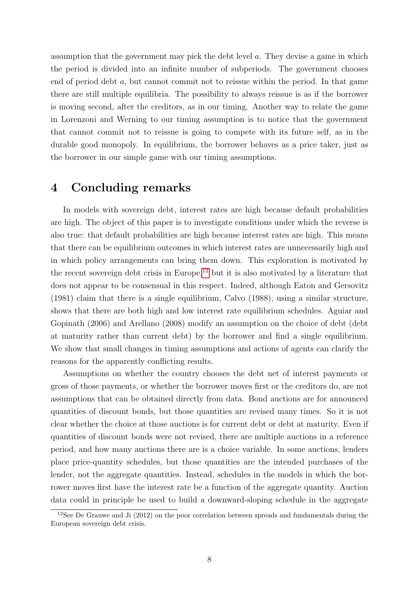assumption that the government may pick the debt level a. They devise a game in which the period is divided into an infinite number of subperiods. The government chooses end of period debt a, but cannot commit not to reissue within the period. In that game there are still multiple equilibria. The possibility to always reissue is as if the borrower is moving second, after the creditors, as in our timing. Another way to relate the game in Lorenzoni and Werning to our timing assumption is to notice that the government that cannot commit not to reissue is going to compete with its future self, as in the durable good monopoly. In equilibrium, the borrower behaves as a price taker, just as the borrower in our simple game with our timing assumptions.

### 4 Concluding remarks

In models with sovereign debt, interest rates are high because default probabilities are high. The object of this paper is to investigate conditions under which the reverse is also true: that default probabilities are high because interest rates are high. This means that there can be equilibrium outcomes in which interest rates are unnecessarily high and in which policy arrangements can bring them down. This exploration is motivated by the recent sovereign debt crisis in Europe,<sup>[12](#page-8-0)</sup> but it is also motivated by a literature that does not appear to be consensual in this respect. Indeed, although Eaton and Gersovitz (1981) claim that there is a single equilibrium, Calvo (1988), using a similar structure, shows that there are both high and low interest rate equilibrium schedules. Aguiar and Gopinath (2006) and Arellano (2008) modify an assumption on the choice of debt (debt at maturity rather than current debt) by the borrower and find a single equilibrium. We show that small changes in timing assumptions and actions of agents can clarify the reasons for the apparently conflicting results.

Assumptions on whether the country chooses the debt net of interest payments or gross of those payments, or whether the borrower moves first or the creditors do, are not assumptions that can be obtained directly from data. Bond auctions are for announced quantities of discount bonds, but those quantities are revised many times. So it is not clear whether the choice at those auctions is for current debt or debt at maturity. Even if quantities of discount bonds were not revised, there are multiple auctions in a reference period, and how many auctions there are is a choice variable. In some auctions, lenders place price-quantity schedules, but those quantities are the intended purchases of the lender, not the aggregate quantities. Instead, schedules in the models in which the borrower moves first have the interest rate be a function of the aggregate quantity. Auction data could in principle be used to build a downward-sloping schedule in the aggregate

<span id="page-8-0"></span><sup>&</sup>lt;sup>12</sup>See De Grauwe and Ji (2012) on the poor correlation between spreads and fundamentals during the European sovereign debt crisis.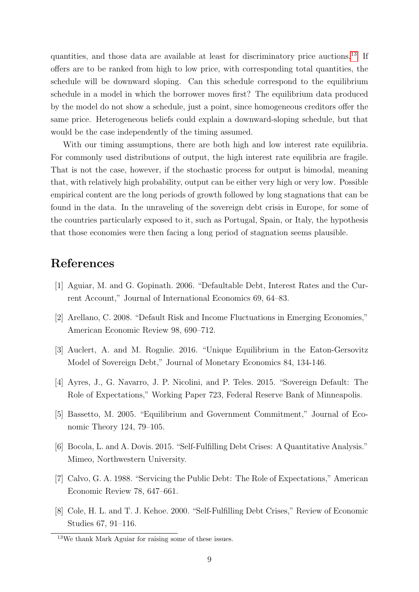quantities, and those data are available at least for discriminatory price auctions.[13](#page-9-0) If offers are to be ranked from high to low price, with corresponding total quantities, the schedule will be downward sloping. Can this schedule correspond to the equilibrium schedule in a model in which the borrower moves first? The equilibrium data produced by the model do not show a schedule, just a point, since homogeneous creditors offer the same price. Heterogeneous beliefs could explain a downward-sloping schedule, but that would be the case independently of the timing assumed.

With our timing assumptions, there are both high and low interest rate equilibria. For commonly used distributions of output, the high interest rate equilibria are fragile. That is not the case, however, if the stochastic process for output is bimodal, meaning that, with relatively high probability, output can be either very high or very low. Possible empirical content are the long periods of growth followed by long stagnations that can be found in the data. In the unraveling of the sovereign debt crisis in Europe, for some of the countries particularly exposed to it, such as Portugal, Spain, or Italy, the hypothesis that those economies were then facing a long period of stagnation seems plausible.

## References

- [1] Aguiar, M. and G. Gopinath. 2006. "Defaultable Debt, Interest Rates and the Current Account," Journal of International Economics 69, 64–83.
- [2] Arellano, C. 2008. "Default Risk and Income Fluctuations in Emerging Economies," American Economic Review 98, 690–712.
- [3] Auclert, A. and M. Rognlie. 2016. "Unique Equilibrium in the Eaton-Gersovitz Model of Sovereign Debt," Journal of Monetary Economics 84, 134-146.
- [4] Ayres, J., G. Navarro, J. P. Nicolini, and P. Teles. 2015. "Sovereign Default: The Role of Expectations," Working Paper 723, Federal Reserve Bank of Minneapolis.
- [5] Bassetto, M. 2005. "Equilibrium and Government Commitment," Journal of Economic Theory 124, 79–105.
- [6] Bocola, L. and A. Dovis. 2015. "Self-Fulfilling Debt Crises: A Quantitative Analysis." Mimeo, Northwestern University.
- [7] Calvo, G. A. 1988. "Servicing the Public Debt: The Role of Expectations," American Economic Review 78, 647–661.
- [8] Cole, H. L. and T. J. Kehoe. 2000. "Self-Fulfilling Debt Crises," Review of Economic Studies 67, 91–116.

<span id="page-9-0"></span><sup>13</sup>We thank Mark Aguiar for raising some of these issues.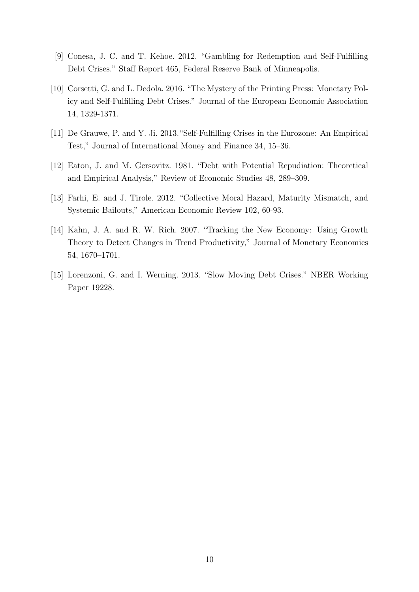- [9] Conesa, J. C. and T. Kehoe. 2012. "Gambling for Redemption and Self-Fulfilling Debt Crises." Staff Report 465, Federal Reserve Bank of Minneapolis.
- [10] Corsetti, G. and L. Dedola. 2016. "The Mystery of the Printing Press: Monetary Policy and Self-Fulfilling Debt Crises." Journal of the European Economic Association 14, 1329-1371.
- [11] De Grauwe, P. and Y. Ji. 2013."Self-Fulfilling Crises in the Eurozone: An Empirical Test," Journal of International Money and Finance 34, 15–36.
- [12] Eaton, J. and M. Gersovitz. 1981. "Debt with Potential Repudiation: Theoretical and Empirical Analysis," Review of Economic Studies 48, 289–309.
- [13] Farhi, E. and J. Tirole. 2012. "Collective Moral Hazard, Maturity Mismatch, and Systemic Bailouts," American Economic Review 102, 60-93.
- [14] Kahn, J. A. and R. W. Rich. 2007. "Tracking the New Economy: Using Growth Theory to Detect Changes in Trend Productivity," Journal of Monetary Economics 54, 1670–1701.
- [15] Lorenzoni, G. and I. Werning. 2013. "Slow Moving Debt Crises." NBER Working Paper 19228.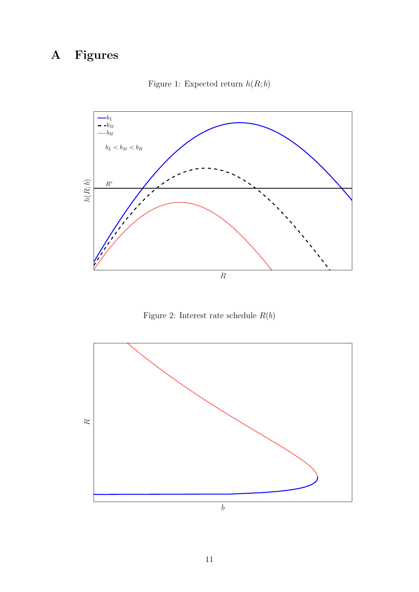# A Figures



Figure 1: Expected return  $h(R; b)$ 

Figure 2: Interest rate schedule  $R(b)$ 

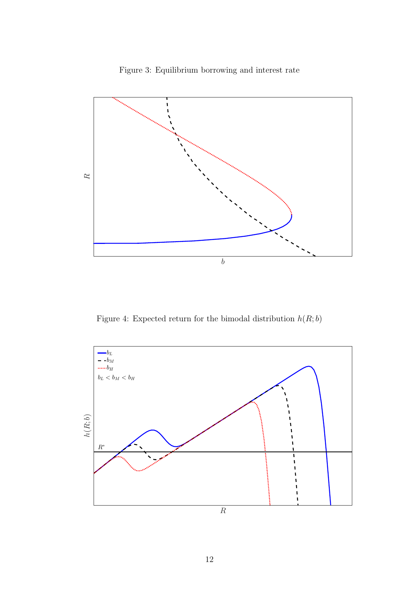

Figure 3: Equilibrium borrowing and interest rate

Figure 4: Expected return for the bimodal distribution  $h(R; b)$